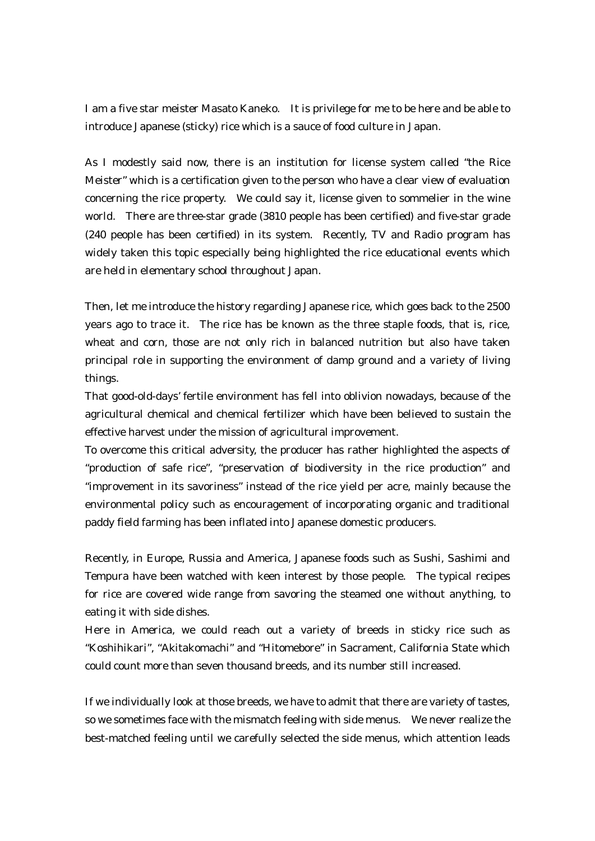I am a five star meister Masato Kaneko. It is privilege for me to be here and be able to introduce Japanese (sticky) rice which is a sauce of food culture in Japan.

As I modestly said now, there is an institution for license system called "the Rice Meister" which is a certification given to the person who have a clear view of evaluation concerning the rice property. We could say it, license given to sommelier in the wine world. There are three-star grade (3810 people has been certified) and five-star grade (240 people has been certified) in its system. Recently, TV and Radio program has widely taken this topic especially being highlighted the rice educational events which are held in elementary school throughout Japan.

Then, let me introduce the history regarding Japanese rice, which goes back to the 2500 years ago to trace it. The rice has be known as the three staple foods, that is, rice, wheat and corn, those are not only rich in balanced nutrition but also have taken principal role in supporting the environment of damp ground and a variety of living things.

That good-old-days' fertile environment has fell into oblivion nowadays, because of the agricultural chemical and chemical fertilizer which have been believed to sustain the effective harvest under the mission of agricultural improvement.

To overcome this critical adversity, the producer has rather highlighted the aspects of "production of safe rice", "preservation of biodiversity in the rice production" and "improvement in its savoriness" instead of the rice yield per acre, mainly because the environmental policy such as encouragement of incorporating organic and traditional paddy field farming has been inflated into Japanese domestic producers.

Recently, in Europe, Russia and America, Japanese foods such as Sushi, Sashimi and Tempura have been watched with keen interest by those people. The typical recipes for rice are covered wide range from savoring the steamed one without anything, to eating it with side dishes.

Here in America, we could reach out a variety of breeds in sticky rice such as "Koshihikari", "Akitakomachi" and "Hitomebore" in Sacrament, California State which could count more than seven thousand breeds, and its number still increased.

If we individually look at those breeds, we have to admit that there are variety of tastes, so we sometimes face with the mismatch feeling with side menus. We never realize the best-matched feeling until we carefully selected the side menus, which attention leads